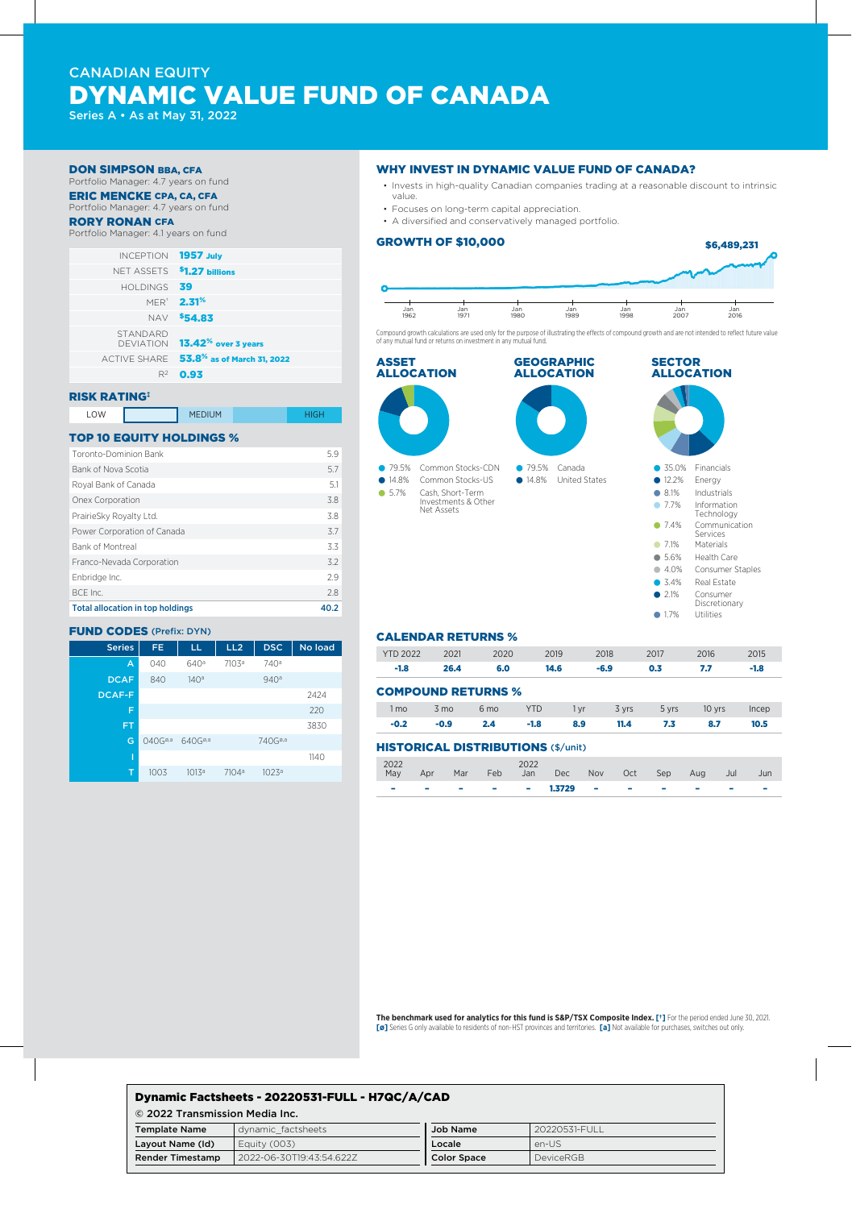# CANADIAN EQUITY DYNAMIC VALUE FUND OF CANADA

Series A • As at May 31, 2022

#### DON SIMPSON BBA, CFA

Portfolio Manager: 4.7 years on fund ERIC MENCKE CPA, CA, CFA

## Portfolio Manager: 4.7 years on fund

RORY RONAN CFA

#### Portfolio Manager: 4.1 years on fund

|                                                 | INCEPTION 1957 July |
|-------------------------------------------------|---------------------|
| NFT ASSETS 51.27 billions                       |                     |
|                                                 | HOLDINGS $39$       |
| <b>MER<sup>®</sup> 2.31<sup>%</sup></b>         |                     |
| NAV \$54.83                                     |                     |
| DEVIATION <b>13.42<sup>%</sup> over 3 years</b> | <b>STANDARD</b>     |
| ACTIVE SHARE 53.8% as of March 31, 2022         |                     |
| 0.93                                            | $R^2$               |
|                                                 |                     |

## RISK RATING‡

| LOW | <b>MEDIUM</b> | HIGH |
|-----|---------------|------|
|     |               |      |

## TOP 10 EQUITY HOLDINGS %

| <b>Total allocation in top holdings</b> | 40.2 |
|-----------------------------------------|------|
| BCF Inc.                                | 2.8  |
| Enbridge Inc.                           | 2.9  |
| Franco-Nevada Corporation               | 3.2  |
| <b>Bank of Montreal</b>                 | 3.3  |
| Power Corporation of Canada             | 3.7  |
| PrairieSky Royalty Ltd.                 | 3.8  |
| Onex Corporation                        | 3.8  |
| Royal Bank of Canada                    | 5.1  |
| Bank of Nova Scotia                     | 5.7  |
| Toronto-Dominion Bank                   | 5.9  |
|                                         |      |

### FUND CODES (Prefix: DYN)

| <b>Series</b> | FE.                 | LL                  | LL <sub>2</sub>   | <b>DSC</b>          | No load |
|---------------|---------------------|---------------------|-------------------|---------------------|---------|
| A             | 040                 | 640a                | 7103 <sup>a</sup> | 740 <sup>a</sup>    |         |
| <b>DCAF</b>   | 840                 | 140a                |                   | 940a                |         |
| <b>DCAF-F</b> |                     |                     |                   |                     | 2424    |
| F             |                     |                     |                   |                     | 220     |
| <b>FT</b>     |                     |                     |                   |                     | 3830    |
| G             | 040G <sup>0,3</sup> | 640G <sup>0,3</sup> |                   | 740G <sup>ø,a</sup> |         |
| I             |                     |                     |                   |                     | 1140    |
| т             | 1003                | 1013a               | 7104 <sup>a</sup> | 1023a               |         |

#### WHY INVEST IN DYNAMIC VALUE FUND OF CANADA?

- Invests in high-quality Canadian companies trading at a reasonable discount to intrinsic value.
- Focuses on long-term capital appreciation.
- A diversified and conservatively managed portfolio.

#### GROWTH OF \$10,000



Compound growth calculations are used only for the purpose of illustrating the effects of compound growth and are not intended to reflect future value of any mutual fund or returns on investment in any mutual fund.



#### CALENDAR RETURNS %

| <b>YTD 2022</b>           | 2021           | 2020            | 2019       | 2018   |       | 2017  | 2016   | 2015   |
|---------------------------|----------------|-----------------|------------|--------|-------|-------|--------|--------|
| $-1.8$                    | 26.4           | 6.0             | 14.6       | $-6.9$ |       | 0.3   | 7.7    | $-1.8$ |
| <b>COMPOUND RETURNS %</b> |                |                 |            |        |       |       |        |        |
| 1 mo                      | $3 \text{ mo}$ | 6 <sub>mo</sub> | <b>YTD</b> | 1 yr   | 3 yrs | 5 yrs | 10 yrs | Incep  |
| $-0.2$                    | $-0.9$         | 2.4             | $-1.8$     | 8.9    | 11.4  | 7.3   | 8.7    | 10.5   |

#### HISTORICAL DISTRIBUTIONS (\$/unit)

| 2022 |              |  | 2022 | May Apr Mar Feb Jan Dec Nov Oct Sep Aug Jul Jun |  |  |  |
|------|--------------|--|------|-------------------------------------------------|--|--|--|
|      | <b>STATE</b> |  |      | —  —  —  —  1.3729  —  —  —  —                  |  |  |  |